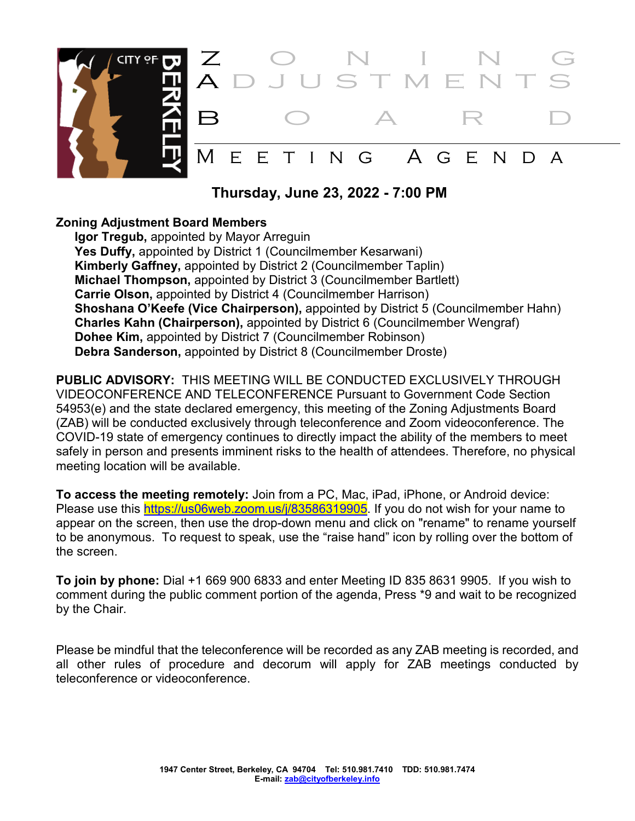

 **Thursday, June 23, 2022 - 7:00 PM**

#### **Zoning Adjustment Board Members**

**Igor Tregub,** appointed by Mayor Arreguin Yes Duffy, appointed by District 1 (Councilmember Kesarwani) **Kimberly Gaffney,** appointed by District 2 (Councilmember Taplin) **Michael Thompson,** appointed by District 3 (Councilmember Bartlett) **Carrie Olson,** appointed by District 4 (Councilmember Harrison) **Shoshana O'Keefe (Vice Chairperson),** appointed by District 5 (Councilmember Hahn) **Charles Kahn (Chairperson),** appointed by District 6 (Councilmember Wengraf) **Dohee Kim,** appointed by District 7 (Councilmember Robinson) **Debra Sanderson,** appointed by District 8 (Councilmember Droste)

**PUBLIC ADVISORY:** THIS MEETING WILL BE CONDUCTED EXCLUSIVELY THROUGH VIDEOCONFERENCE AND TELECONFERENCE Pursuant to Government Code Section 54953(e) and the state declared emergency, this meeting of the Zoning Adjustments Board (ZAB) will be conducted exclusively through teleconference and Zoom videoconference. The COVID-19 state of emergency continues to directly impact the ability of the members to meet safely in person and presents imminent risks to the health of attendees. Therefore, no physical meeting location will be available.

**To access the meeting remotely:** Join from a PC, Mac, iPad, iPhone, or Android device: Please use this [https://us06web.zoom.us/j/83586319905.](https://us06web.zoom.us/j/83586319905) If you do not wish for your name to appear on the screen, then use the drop-down menu and click on "rename" to rename yourself to be anonymous. To request to speak, use the "raise hand" icon by rolling over the bottom of the screen.

**To join by phone:** Dial +1 669 900 6833 and enter Meeting ID 835 8631 9905. If you wish to comment during the public comment portion of the agenda, Press \*9 and wait to be recognized by the Chair.

Please be mindful that the teleconference will be recorded as any ZAB meeting is recorded, and all other rules of procedure and decorum will apply for ZAB meetings conducted by teleconference or videoconference.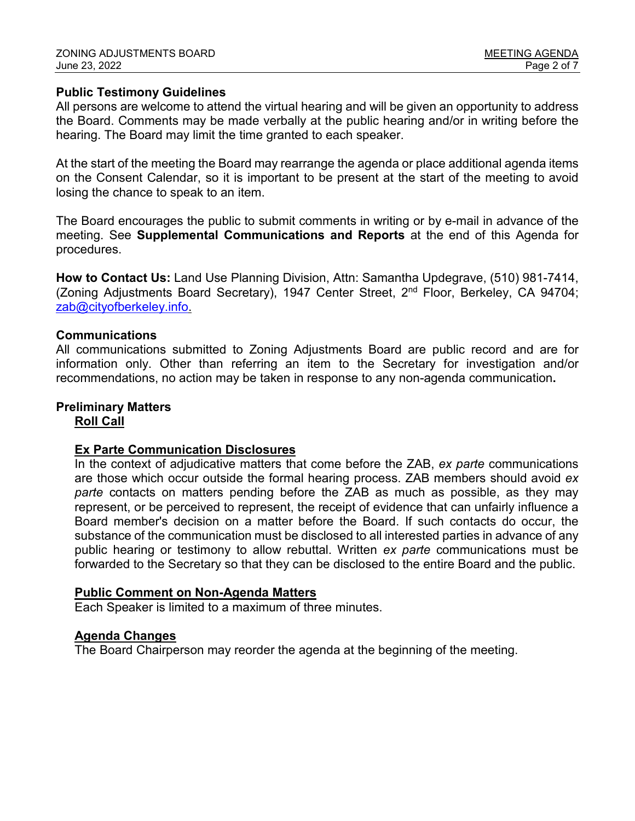#### **Public Testimony Guidelines**

All persons are welcome to attend the virtual hearing and will be given an opportunity to address the Board. Comments may be made verbally at the public hearing and/or in writing before the hearing. The Board may limit the time granted to each speaker.

At the start of the meeting the Board may rearrange the agenda or place additional agenda items on the Consent Calendar, so it is important to be present at the start of the meeting to avoid losing the chance to speak to an item.

The Board encourages the public to submit comments in writing or by e-mail in advance of the meeting. See **Supplemental Communications and Reports** at the end of this Agenda for procedures.

**How to Contact Us:** Land Use Planning Division, Attn: Samantha Updegrave, (510) 981-7414, (Zoning Adjustments Board Secretary), 1947 Center Street, 2nd Floor, Berkeley, CA 94704; [zab@cityofberkeley.info.](mailto:zab@cityofberkeley.info)

#### **Communications**

All communications submitted to Zoning Adjustments Board are public record and are for information only. Other than referring an item to the Secretary for investigation and/or recommendations, no action may be taken in response to any non-agenda communication**.** 

# **Preliminary Matters**

## **Roll Call**

#### **Ex Parte Communication Disclosures**

In the context of adjudicative matters that come before the ZAB, *ex parte* communications are those which occur outside the formal hearing process. ZAB members should avoid *ex parte* contacts on matters pending before the ZAB as much as possible, as they may represent, or be perceived to represent, the receipt of evidence that can unfairly influence a Board member's decision on a matter before the Board. If such contacts do occur, the substance of the communication must be disclosed to all interested parties in advance of any public hearing or testimony to allow rebuttal. Written *ex parte* communications must be forwarded to the Secretary so that they can be disclosed to the entire Board and the public.

#### **Public Comment on Non-Agenda Matters**

Each Speaker is limited to a maximum of three minutes.

#### **Agenda Changes**

The Board Chairperson may reorder the agenda at the beginning of the meeting.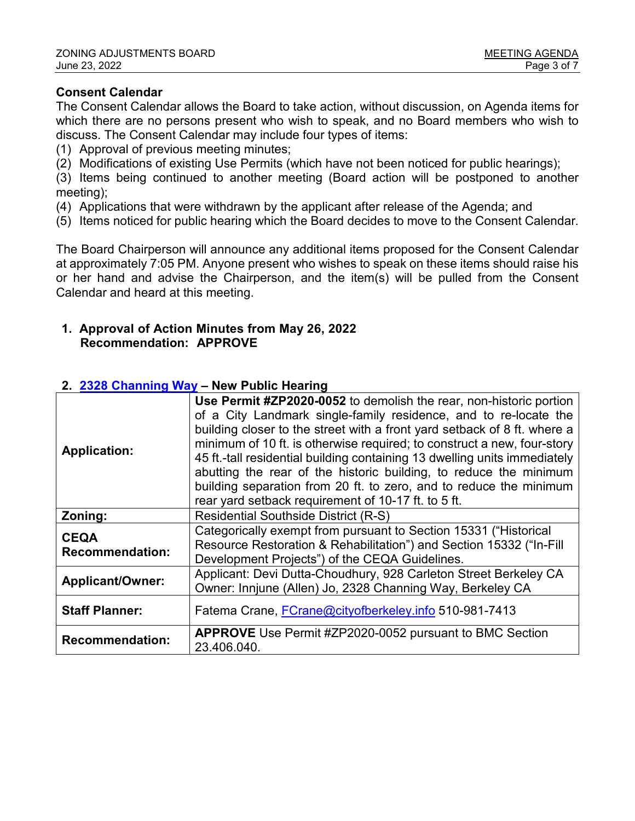#### **Consent Calendar**

The Consent Calendar allows the Board to take action, without discussion, on Agenda items for which there are no persons present who wish to speak, and no Board members who wish to discuss. The Consent Calendar may include four types of items:

- (1) Approval of previous meeting minutes;
- (2) Modifications of existing Use Permits (which have not been noticed for public hearings);

(3) Items being continued to another meeting (Board action will be postponed to another meeting);

- (4) Applications that were withdrawn by the applicant after release of the Agenda; and
- (5) Items noticed for public hearing which the Board decides to move to the Consent Calendar.

The Board Chairperson will announce any additional items proposed for the Consent Calendar at approximately 7:05 PM. Anyone present who wishes to speak on these items should raise his or her hand and advise the Chairperson, and the item(s) will be pulled from the Consent Calendar and heard at this meeting.

#### **1. Approval of Action Minutes from May 26, 2022 Recommendation: APPROVE**

#### **Application: Use Permit #ZP2020-0052** to demolish the rear, non-historic portion of a City Landmark single-family residence, and to re-locate the building closer to the street with a front yard setback of 8 ft. where a minimum of 10 ft. is otherwise required; to construct a new, four-story 45 ft.-tall residential building containing 13 dwelling units immediately abutting the rear of the historic building, to reduce the minimum building separation from 20 ft. to zero, and to reduce the minimum rear yard setback requirement of 10-17 ft. to 5 ft. **Zoning:** Residential Southside District (R-S) **CEQA Recommendation:** Categorically exempt from pursuant to Section 15331 ("Historical Resource Restoration & Rehabilitation") and Section 15332 ("In-Fill Development Projects") of the CEQA Guidelines. **Applicant/Owner:** Applicant: Devi Dutta-Choudhury, 928 Carleton Street Berkeley CA Owner: Innjune (Allen) Jo, 2328 Channing Way, Berkeley CA **Staff Planner:** Fatema Crane, [FCrane@cityofberkeley.info](mailto:FCrane@cityofberkeley.info) 510-981-7413 **Recommendation: APPROVE** Use Permit #ZP2020-0052 pursuant to BMC Section 23.406.040.

#### **2. 2328 [Channing Way](https://berkeleyca.gov/sites/default/files/documents/2022-06-23_ZAB_Item%202_2328%20Channing.pdf) – New Public Hearing**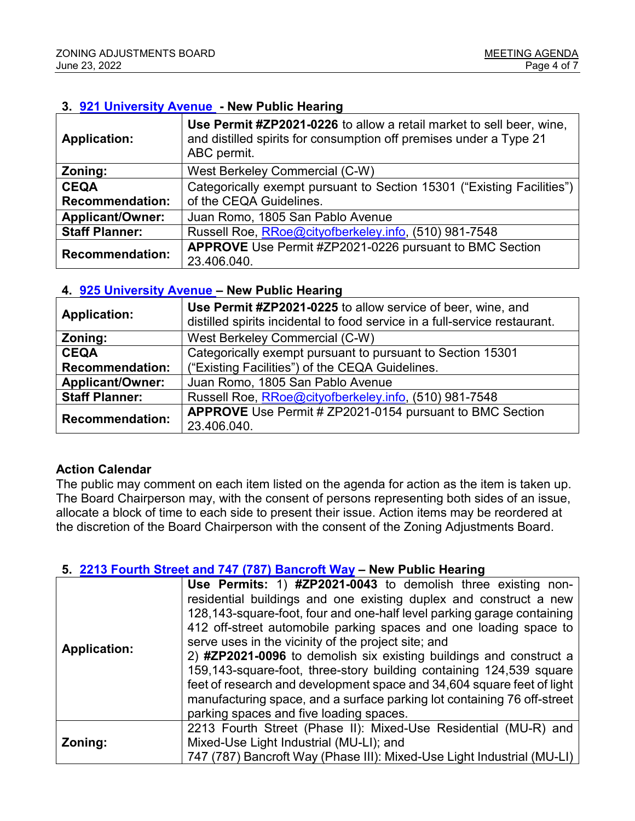#### **3. [921 University Avenue](https://berkeleyca.gov/sites/default/files/documents/2022-06-23_ZAB_Item%203_921%20University.pdf) - New Public Hearing**

| <b>Application:</b>     | Use Permit #ZP2021-0226 to allow a retail market to sell beer, wine,<br>and distilled spirits for consumption off premises under a Type 21<br>ABC permit. |
|-------------------------|-----------------------------------------------------------------------------------------------------------------------------------------------------------|
| Zoning:                 | West Berkeley Commercial (C-W)                                                                                                                            |
| <b>CEQA</b>             | Categorically exempt pursuant to Section 15301 ("Existing Facilities")                                                                                    |
| <b>Recommendation:</b>  | of the CEQA Guidelines.                                                                                                                                   |
| <b>Applicant/Owner:</b> | Juan Romo, 1805 San Pablo Avenue                                                                                                                          |
| <b>Staff Planner:</b>   | Russell Roe, RRoe@cityofberkeley.info, (510) 981-7548                                                                                                     |
| <b>Recommendation:</b>  | <b>APPROVE</b> Use Permit #ZP2021-0226 pursuant to BMC Section                                                                                            |
|                         | 23.406.040.                                                                                                                                               |

#### **4. [925 University Avenue](https://berkeleyca.gov/sites/default/files/documents/2022-06-23_ZAB_Item%204_925%20University.pdf) – New Public Hearing**

| <b>Application:</b>     | Use Permit #ZP2021-0225 to allow service of beer, wine, and<br>distilled spirits incidental to food service in a full-service restaurant. |
|-------------------------|-------------------------------------------------------------------------------------------------------------------------------------------|
| Zoning:                 | West Berkeley Commercial (C-W)                                                                                                            |
| <b>CEQA</b>             | Categorically exempt pursuant to pursuant to Section 15301                                                                                |
| <b>Recommendation:</b>  | ("Existing Facilities") of the CEQA Guidelines.                                                                                           |
| <b>Applicant/Owner:</b> | Juan Romo, 1805 San Pablo Avenue                                                                                                          |
| <b>Staff Planner:</b>   | Russell Roe, RRoe@cityofberkeley.info, (510) 981-7548                                                                                     |
| <b>Recommendation:</b>  | <b>APPROVE</b> Use Permit # ZP2021-0154 pursuant to BMC Section                                                                           |
|                         | 23.406.040.                                                                                                                               |

#### **Action Calendar**

The public may comment on each item listed on the agenda for action as the item is taken up. The Board Chairperson may, with the consent of persons representing both sides of an issue, allocate a block of time to each side to present their issue. Action items may be reordered at the discretion of the Board Chairperson with the consent of the Zoning Adjustments Board.

#### **5. [2213 Fourth Street and 747 \(787\) Bancroft Way](https://berkeleyca.gov/sites/default/files/documents/2022-06-23_ZAB_Item%205_2213%20Fourth%20and%20787%20Bancroft.pdf) – New Public Hearing**

| <b>Application:</b> | Use Permits: 1) #ZP2021-0043 to demolish three existing non-<br>residential buildings and one existing duplex and construct a new<br>128,143-square-foot, four and one-half level parking garage containing<br>412 off-street automobile parking spaces and one loading space to<br>serve uses in the vicinity of the project site; and<br>2) #ZP2021-0096 to demolish six existing buildings and construct a<br>159,143-square-foot, three-story building containing 124,539 square |
|---------------------|--------------------------------------------------------------------------------------------------------------------------------------------------------------------------------------------------------------------------------------------------------------------------------------------------------------------------------------------------------------------------------------------------------------------------------------------------------------------------------------|
|                     | feet of research and development space and 34,604 square feet of light<br>manufacturing space, and a surface parking lot containing 76 off-street<br>parking spaces and five loading spaces.                                                                                                                                                                                                                                                                                         |
| Zoning:             | 2213 Fourth Street (Phase II): Mixed-Use Residential (MU-R) and                                                                                                                                                                                                                                                                                                                                                                                                                      |
|                     | Mixed-Use Light Industrial (MU-LI); and                                                                                                                                                                                                                                                                                                                                                                                                                                              |
|                     | 747 (787) Bancroft Way (Phase III): Mixed-Use Light Industrial (MU-LI)                                                                                                                                                                                                                                                                                                                                                                                                               |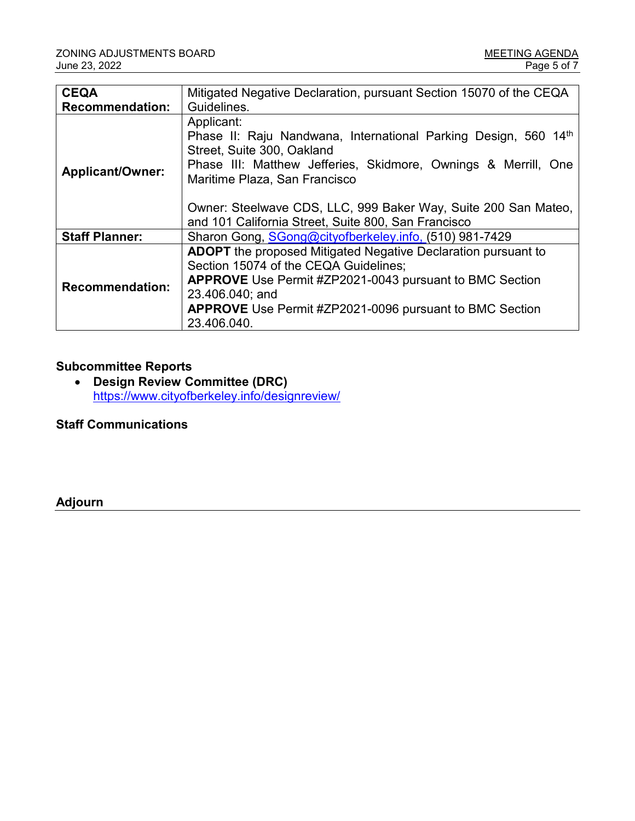| <b>CEQA</b>             | Mitigated Negative Declaration, pursuant Section 15070 of the CEQA                                                                                                                                                                                                                                                                      |
|-------------------------|-----------------------------------------------------------------------------------------------------------------------------------------------------------------------------------------------------------------------------------------------------------------------------------------------------------------------------------------|
| <b>Recommendation:</b>  | Guidelines.                                                                                                                                                                                                                                                                                                                             |
| <b>Applicant/Owner:</b> | Applicant:<br>Phase II: Raju Nandwana, International Parking Design, 560 14th<br>Street, Suite 300, Oakland<br>Phase III: Matthew Jefferies, Skidmore, Ownings & Merrill, One<br>Maritime Plaza, San Francisco<br>Owner: Steelwave CDS, LLC, 999 Baker Way, Suite 200 San Mateo,<br>and 101 California Street, Suite 800, San Francisco |
| <b>Staff Planner:</b>   | Sharon Gong, SGong@cityofberkeley.info, (510) 981-7429                                                                                                                                                                                                                                                                                  |
| <b>Recommendation:</b>  | <b>ADOPT</b> the proposed Mitigated Negative Declaration pursuant to<br>Section 15074 of the CEQA Guidelines;<br><b>APPROVE</b> Use Permit #ZP2021-0043 pursuant to BMC Section<br>23.406.040; and<br><b>APPROVE</b> Use Permit #ZP2021-0096 pursuant to BMC Section<br>23.406.040.                                                     |

### **Subcommittee Reports**

• **Design Review Committee (DRC)** <https://www.cityofberkeley.info/designreview/>

**Staff Communications**

**Adjourn**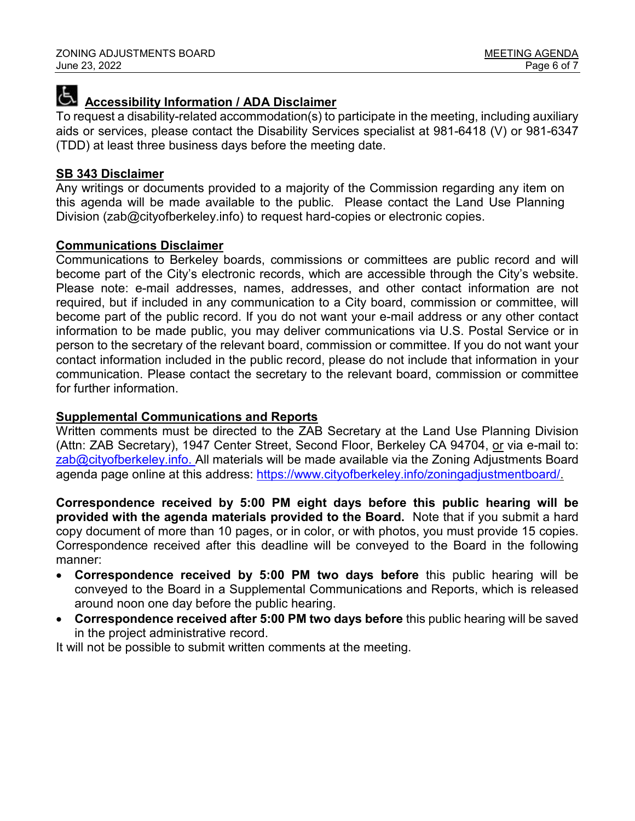# **Accessibility Information / ADA Disclaimer**

To request a disability-related accommodation(s) to participate in the meeting, including auxiliary aids or services, please contact the Disability Services specialist at 981-6418 (V) or 981-6347 (TDD) at least three business days before the meeting date.

#### **SB 343 Disclaimer**

Any writings or documents provided to a majority of the Commission regarding any item on this agenda will be made available to the public. Please contact the Land Use Planning Division (zab@cityofberkeley.info) to request hard-copies or electronic copies.

#### **Communications Disclaimer**

Communications to Berkeley boards, commissions or committees are public record and will become part of the City's electronic records, which are accessible through the City's website. Please note: e-mail addresses, names, addresses, and other contact information are not required, but if included in any communication to a City board, commission or committee, will become part of the public record. If you do not want your e-mail address or any other contact information to be made public, you may deliver communications via U.S. Postal Service or in person to the secretary of the relevant board, commission or committee. If you do not want your contact information included in the public record, please do not include that information in your communication. Please contact the secretary to the relevant board, commission or committee for further information.

#### **Supplemental Communications and Reports**

Written comments must be directed to the ZAB Secretary at the Land Use Planning Division (Attn: ZAB Secretary), 1947 Center Street, Second Floor, Berkeley CA 94704, or via e-mail to: [zab@cityofberkeley.info.](mailto:zab@cityofberkeley.info) All materials will be made available via the Zoning Adjustments Board agenda page online at this address: https://www.cityofberkeley.info/zoningadjustmentboard/

**Correspondence received by 5:00 PM eight days before this public hearing will be provided with the agenda materials provided to the Board.** Note that if you submit a hard copy document of more than 10 pages, or in color, or with photos, you must provide 15 copies. Correspondence received after this deadline will be conveyed to the Board in the following manner:

- **Correspondence received by 5:00 PM two days before** this public hearing will be conveyed to the Board in a Supplemental Communications and Reports, which is released around noon one day before the public hearing.
- **Correspondence received after 5:00 PM two days before** this public hearing will be saved in the project administrative record.

It will not be possible to submit written comments at the meeting.